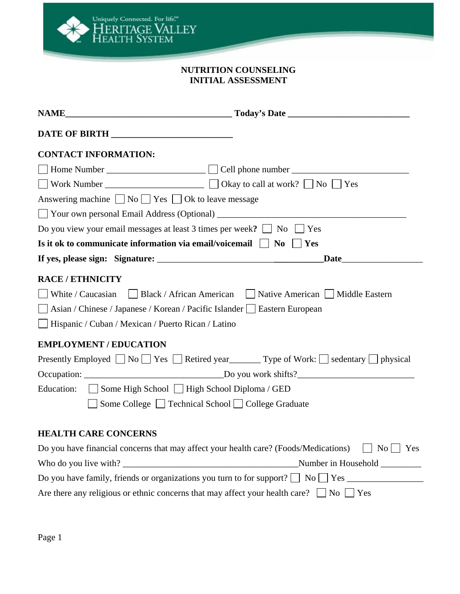

## **NUTRITION COUNSELING INITIAL ASSESSMENT**

| <b>CONTACT INFORMATION:</b>                                                                                       |
|-------------------------------------------------------------------------------------------------------------------|
|                                                                                                                   |
|                                                                                                                   |
| Answering machine $\Box$ No $\Box$ Yes $\Box$ Ok to leave message                                                 |
|                                                                                                                   |
| Do you view your email messages at least 3 times per week? $\Box$ No $\Box$ Yes                                   |
| Is it ok to communicate information via email/voicemail $\Box$ No $\Box$ Yes                                      |
| Date <u>Date</u>                                                                                                  |
| <b>RACE / ETHNICITY</b>                                                                                           |
| White / Caucasian Black / African American Native American Middle Eastern                                         |
| Asian / Chinese / Japanese / Korean / Pacific Islander   Eastern European                                         |
| Hispanic / Cuban / Mexican / Puerto Rican / Latino                                                                |
| <b>EMPLOYMENT / EDUCATION</b>                                                                                     |
| Presently Employed $\Box$ No $\Box$ Yes $\Box$ Retired year $\Box$ Type of Work: $\Box$ sedentary $\Box$ physical |
|                                                                                                                   |
| Education: Some High School   High School Diploma / GED                                                           |
| Some College □ Technical School □ College Graduate                                                                |
|                                                                                                                   |
| <b>HEALTH CARE CONCERNS</b>                                                                                       |
| Do you have financial concerns that may affect your health care? (Foods/Medications) $\Box$ No $\Box$ Yes         |
| Number in Household _________                                                                                     |
|                                                                                                                   |
| Are there any religious or ethnic concerns that may affect your health care? $\Box$ No $\Box$ Yes                 |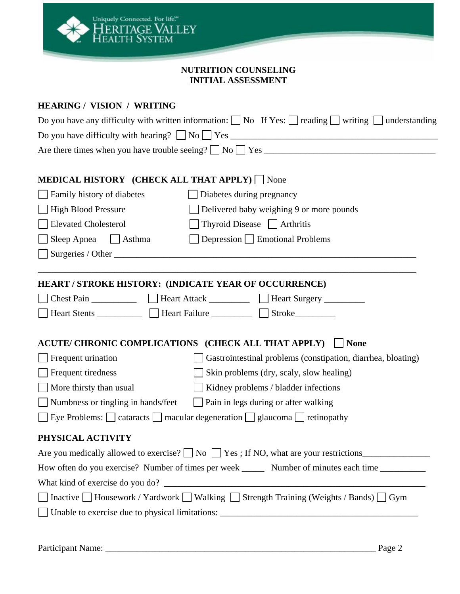

#### **NUTRITION COUNSELING INITIAL ASSESSMENT**

# **HEARING / VISION / WRITING**

| Do you have any difficulty with written information: $\Box$ No If Yes: $\Box$ reading $\Box$ writing $\Box$ understanding |                                                                                                                                                                                                                               |  |  |
|---------------------------------------------------------------------------------------------------------------------------|-------------------------------------------------------------------------------------------------------------------------------------------------------------------------------------------------------------------------------|--|--|
|                                                                                                                           |                                                                                                                                                                                                                               |  |  |
|                                                                                                                           |                                                                                                                                                                                                                               |  |  |
|                                                                                                                           |                                                                                                                                                                                                                               |  |  |
| <b>MEDICAL HISTORY (CHECK ALL THAT APPLY)</b> None                                                                        |                                                                                                                                                                                                                               |  |  |
| Family history of diabetes                                                                                                | Diabetes during pregnancy                                                                                                                                                                                                     |  |  |
| <b>High Blood Pressure</b>                                                                                                | Delivered baby weighing 9 or more pounds                                                                                                                                                                                      |  |  |
| <b>Elevated Cholesterol</b>                                                                                               | Thyroid Disease   Arthritis                                                                                                                                                                                                   |  |  |
| Sleep Apnea $\Box$ Asthma                                                                                                 | Depression Emotional Problems                                                                                                                                                                                                 |  |  |
|                                                                                                                           |                                                                                                                                                                                                                               |  |  |
|                                                                                                                           |                                                                                                                                                                                                                               |  |  |
| HEART / STROKE HISTORY: (INDICATE YEAR OF OCCURRENCE)                                                                     |                                                                                                                                                                                                                               |  |  |
|                                                                                                                           |                                                                                                                                                                                                                               |  |  |
|                                                                                                                           | ■ Heart Stents  ■ Heart Failure  ■ Stroke ■ Stroke ■ Stroke ■ Stroke ■ Stroke ■ Stroke ■ Stroke ■ Stroke ■ Stroke ■ Stroke ■ Stroke ■ Stroke ■ Stroke ■ Stroke ■ Stroke ■ Stroke ■ Stroke ■ Stroke ■ Stroke ■ Stroke ■ Stroke |  |  |
|                                                                                                                           |                                                                                                                                                                                                                               |  |  |
| ACUTE/ CHRONIC COMPLICATIONS (CHECK ALL THAT APPLY)                                                                       | $\Box$ None                                                                                                                                                                                                                   |  |  |
| Frequent urination                                                                                                        | Gastrointestinal problems (constipation, diarrhea, bloating)                                                                                                                                                                  |  |  |
| Frequent tiredness                                                                                                        | $\Box$ Skin problems (dry, scaly, slow healing)                                                                                                                                                                               |  |  |
| More thirsty than usual                                                                                                   | $\Box$ Kidney problems / bladder infections                                                                                                                                                                                   |  |  |
| Numbness or tingling in hands/feet                                                                                        | $\Box$ Pain in legs during or after walking                                                                                                                                                                                   |  |  |
|                                                                                                                           | Eye Problems: $\Box$ cataracts $\Box$ macular degeneration $\Box$ glaucoma $\Box$ retinopathy                                                                                                                                 |  |  |
| PHYSICAL ACTIVITY                                                                                                         |                                                                                                                                                                                                                               |  |  |
|                                                                                                                           | Are you medically allowed to exercise? $\Box$ No $\Box$ Yes; If NO, what are your restrictions                                                                                                                                |  |  |
|                                                                                                                           | How often do you exercise? Number of times per week ________ Number of minutes each time __________                                                                                                                           |  |  |
|                                                                                                                           |                                                                                                                                                                                                                               |  |  |
|                                                                                                                           | Inactive □ Housework / Yardwork □ Walking □ Strength Training (Weights / Bands) □ Gym                                                                                                                                         |  |  |
|                                                                                                                           |                                                                                                                                                                                                                               |  |  |
|                                                                                                                           |                                                                                                                                                                                                                               |  |  |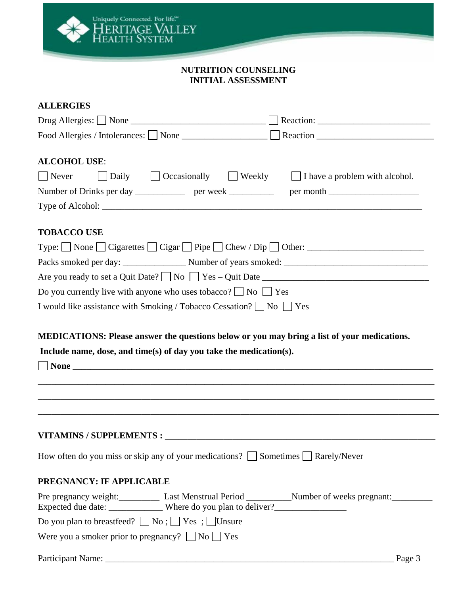

#### **NUTRITION COUNSELING INITIAL ASSESSMENT**

#### **ALLERGIES**

| Food Allergies / Intolerances: None _________________ Reaction _________________                                                                                                                                                                                                        |        |
|-----------------------------------------------------------------------------------------------------------------------------------------------------------------------------------------------------------------------------------------------------------------------------------------|--------|
| <b>ALCOHOL USE:</b><br>$\vert$ Never<br>$\Box$ Daily $\Box$ Occasionally $\Box$ Weekly $\Box$ I have a problem with alcohol.<br>Number of Drinks per day _______________ per week ____________ per month __________________________                                                     |        |
| <b>TOBACCO USE</b><br>Type: $\Box$ None $\Box$ Cigarettes $\Box$ Cigar $\Box$ Pipe $\Box$ Chew / Dip $\Box$ Other: $\Box$<br>Do you currently live with anyone who uses tobacco? $\Box$ No $\Box$ Yes<br>I would like assistance with Smoking / Tobacco Cessation? $\Box$ No $\Box$ Yes |        |
| MEDICATIONS: Please answer the questions below or you may bring a list of your medications.<br>Include name, dose, and time(s) of day you take the medication(s).                                                                                                                       |        |
| How often do you miss or skip any of your medications? Sometimes Rarely/Never                                                                                                                                                                                                           |        |
| PREGNANCY: IF APPLICABLE                                                                                                                                                                                                                                                                |        |
| Do you plan to breastfeed? $\Box$ No ; $\Box$ Yes ; $\Box$ Unsure                                                                                                                                                                                                                       |        |
| Were you a smoker prior to pregnancy? $\Box$ No $\Box$ Yes                                                                                                                                                                                                                              |        |
|                                                                                                                                                                                                                                                                                         | Page 3 |